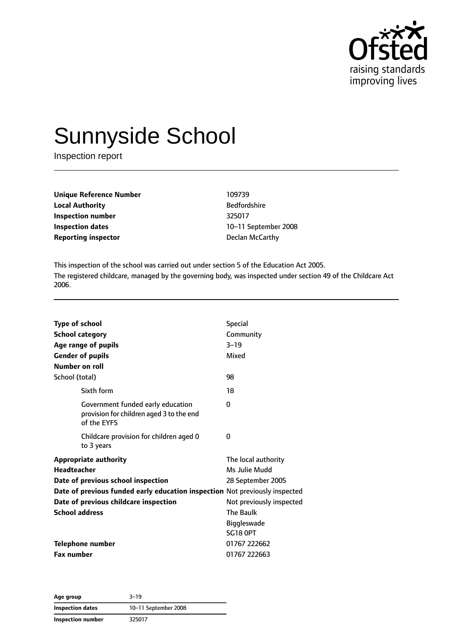

# Sunnyside School

Inspection report

| Unique Reference Number    | 109739              |
|----------------------------|---------------------|
| <b>Local Authority</b>     | <b>Bedfordshire</b> |
| Inspection number          | 325017              |
| <b>Inspection dates</b>    | 10-11 September     |
| <b>Reporting inspector</b> | Declan McCarthy     |

**Bedfordshire Inspection dates** 10–11 September 2008

This inspection of the school was carried out under section 5 of the Education Act 2005. The registered childcare, managed by the governing body, was inspected under section 49 of the Childcare Act 2006.

| <b>Type of school</b><br><b>School category</b><br>Age range of pupils<br><b>Gender of pupils</b><br><b>Number on roll</b>                                              | <b>Special</b><br>Community<br>$3 - 19$<br>Mixed          |
|-------------------------------------------------------------------------------------------------------------------------------------------------------------------------|-----------------------------------------------------------|
| School (total)                                                                                                                                                          | 98                                                        |
| Sixth form                                                                                                                                                              | 18                                                        |
| Government funded early education<br>provision for children aged 3 to the end<br>of the EYFS                                                                            | 0                                                         |
| Childcare provision for children aged 0<br>to 3 years                                                                                                                   | 0                                                         |
| <b>Appropriate authority</b><br><b>Headteacher</b><br>Date of previous school inspection<br>Date of previous funded early education inspection Not previously inspected | The local authority<br>Ms Julie Mudd<br>28 September 2005 |
| Date of previous childcare inspection                                                                                                                                   | Not previously inspected                                  |
| <b>School address</b>                                                                                                                                                   | <b>The Baulk</b><br><b>Biggleswade</b><br><b>SG18 OPT</b> |
| <b>Telephone number</b>                                                                                                                                                 | 01767 222662                                              |
| <b>Fax number</b>                                                                                                                                                       | 01767 222663                                              |

**Age group** 3–19 **Inspection dates** 10–11 September 2008 **Inspection number** 325017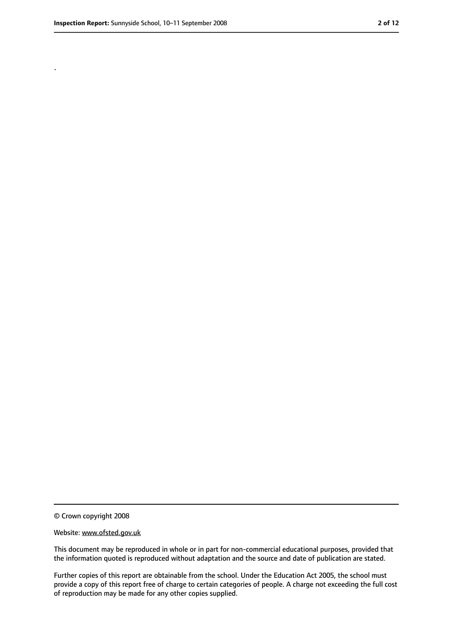.

<sup>©</sup> Crown copyright 2008

Website: www.ofsted.gov.uk

This document may be reproduced in whole or in part for non-commercial educational purposes, provided that the information quoted is reproduced without adaptation and the source and date of publication are stated.

Further copies of this report are obtainable from the school. Under the Education Act 2005, the school must provide a copy of this report free of charge to certain categories of people. A charge not exceeding the full cost of reproduction may be made for any other copies supplied.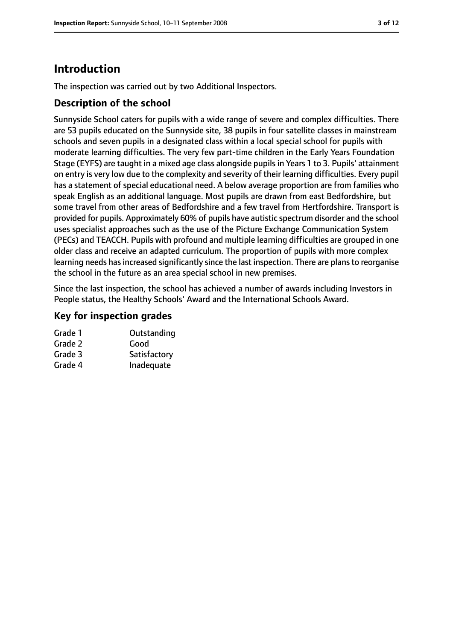# **Introduction**

The inspection was carried out by two Additional Inspectors.

#### **Description of the school**

Sunnyside School caters for pupils with a wide range of severe and complex difficulties. There are 53 pupils educated on the Sunnyside site, 38 pupils in four satellite classes in mainstream schools and seven pupils in a designated class within a local special school for pupils with moderate learning difficulties. The very few part-time children in the Early Years Foundation Stage (EYFS) are taught in a mixed age class alongside pupils in Years 1 to 3. Pupils' attainment on entry is very low due to the complexity and severity of their learning difficulties. Every pupil has a statement of special educational need. A below average proportion are from families who speak English as an additional language. Most pupils are drawn from east Bedfordshire, but some travel from other areas of Bedfordshire and a few travel from Hertfordshire. Transport is provided for pupils. Approximately 60% of pupils have autistic spectrum disorder and the school uses specialist approaches such as the use of the Picture Exchange Communication System (PECs) and TEACCH. Pupils with profound and multiple learning difficulties are grouped in one older class and receive an adapted curriculum. The proportion of pupils with more complex learning needs has increased significantly since the last inspection. There are plans to reorganise the school in the future as an area special school in new premises.

Since the last inspection, the school has achieved a number of awards including Investors in People status, the Healthy Schools' Award and the International Schools Award.

#### **Key for inspection grades**

| Outstanding  |
|--------------|
| Good         |
| Satisfactory |
| Inadequate   |
|              |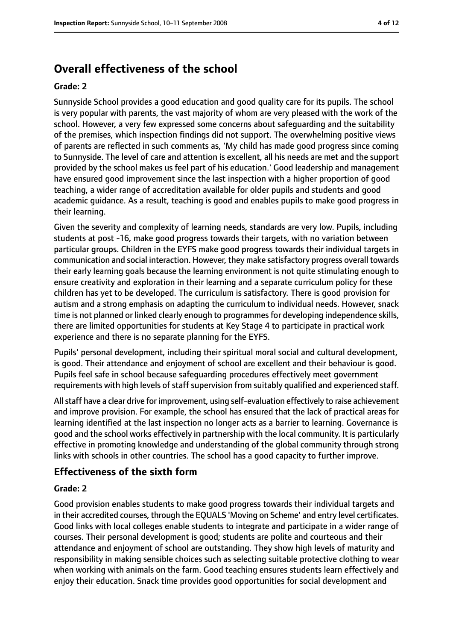# **Overall effectiveness of the school**

#### **Grade: 2**

Sunnyside School provides a good education and good quality care for its pupils. The school is very popular with parents, the vast majority of whom are very pleased with the work of the school. However, a very few expressed some concerns about safeguarding and the suitability of the premises, which inspection findings did not support. The overwhelming positive views of parents are reflected in such comments as, 'My child has made good progress since coming to Sunnyside. The level of care and attention is excellent, all his needs are met and the support provided by the school makes us feel part of his education.' Good leadership and management have ensured good improvement since the last inspection with a higher proportion of good teaching, a wider range of accreditation available for older pupils and students and good academic guidance. As a result, teaching is good and enables pupils to make good progress in their learning.

Given the severity and complexity of learning needs, standards are very low. Pupils, including students at post -16, make good progress towards their targets, with no variation between particular groups. Children in the EYFS make good progress towards their individual targets in communication and social interaction. However, they make satisfactory progress overall towards their early learning goals because the learning environment is not quite stimulating enough to ensure creativity and exploration in their learning and a separate curriculum policy for these children has yet to be developed. The curriculum is satisfactory. There is good provision for autism and a strong emphasis on adapting the curriculum to individual needs. However, snack time is not planned or linked clearly enough to programmes for developing independence skills, there are limited opportunities for students at Key Stage 4 to participate in practical work experience and there is no separate planning for the EYFS.

Pupils' personal development, including their spiritual moral social and cultural development, is good. Their attendance and enjoyment of school are excellent and their behaviour is good. Pupils feel safe in school because safeguarding procedures effectively meet government requirements with high levels of staff supervision from suitably qualified and experienced staff.

All staff have a clear drive for improvement, using self-evaluation effectively to raise achievement and improve provision. For example, the school has ensured that the lack of practical areas for learning identified at the last inspection no longer acts as a barrier to learning. Governance is good and the school works effectively in partnership with the local community. It is particularly effective in promoting knowledge and understanding of the global community through strong links with schools in other countries. The school has a good capacity to further improve.

#### **Effectiveness of the sixth form**

#### **Grade: 2**

Good provision enables students to make good progress towards their individual targets and in their accredited courses, through the EQUALS 'Moving on Scheme' and entry level certificates. Good links with local colleges enable students to integrate and participate in a wider range of courses. Their personal development is good; students are polite and courteous and their attendance and enjoyment of school are outstanding. They show high levels of maturity and responsibility in making sensible choices such as selecting suitable protective clothing to wear when working with animals on the farm. Good teaching ensures students learn effectively and enjoy their education. Snack time provides good opportunities for social development and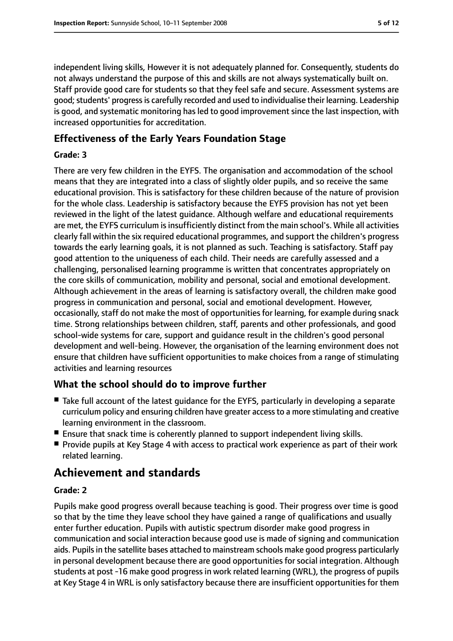independent living skills, However it is not adequately planned for. Consequently, students do not always understand the purpose of this and skills are not always systematically built on. Staff provide good care for students so that they feel safe and secure. Assessment systems are good; students' progress is carefully recorded and used to individualise their learning. Leadership is good, and systematic monitoring has led to good improvement since the last inspection, with increased opportunities for accreditation.

#### **Effectiveness of the Early Years Foundation Stage**

#### **Grade: 3**

There are very few children in the EYFS. The organisation and accommodation of the school means that they are integrated into a class of slightly older pupils, and so receive the same educational provision. This is satisfactory for these children because of the nature of provision for the whole class. Leadership is satisfactory because the EYFS provision has not yet been reviewed in the light of the latest guidance. Although welfare and educational requirements are met, the EYFS curriculum is insufficiently distinct from the main school's. While all activities clearly fall within the six required educational programmes, and support the children's progress towards the early learning goals, it is not planned as such. Teaching is satisfactory. Staff pay good attention to the uniqueness of each child. Their needs are carefully assessed and a challenging, personalised learning programme is written that concentrates appropriately on the core skills of communication, mobility and personal, social and emotional development. Although achievement in the areas of learning is satisfactory overall, the children make good progress in communication and personal, social and emotional development. However, occasionally, staff do not make the most of opportunities for learning, for example during snack time. Strong relationships between children, staff, parents and other professionals, and good school-wide systems for care, support and guidance result in the children's good personal development and well-being. However, the organisation of the learning environment does not ensure that children have sufficient opportunities to make choices from a range of stimulating activities and learning resources

#### **What the school should do to improve further**

- Take full account of the latest quidance for the EYFS, particularly in developing a separate curriculum policy and ensuring children have greater accessto a more stimulating and creative learning environment in the classroom.
- Ensure that snack time is coherently planned to support independent living skills.
- Provide pupils at Key Stage 4 with access to practical work experience as part of their work related learning.

# **Achievement and standards**

#### **Grade: 2**

Pupils make good progress overall because teaching is good. Their progress over time is good so that by the time they leave school they have gained a range of qualifications and usually enter further education. Pupils with autistic spectrum disorder make good progress in communication and social interaction because good use is made of signing and communication aids. Pupils in the satellite bases attached to mainstream schools make good progress particularly in personal development because there are good opportunities for social integration. Although students at post -16 make good progress in work related learning (WRL), the progress of pupils at Key Stage 4 in WRL is only satisfactory because there are insufficient opportunities for them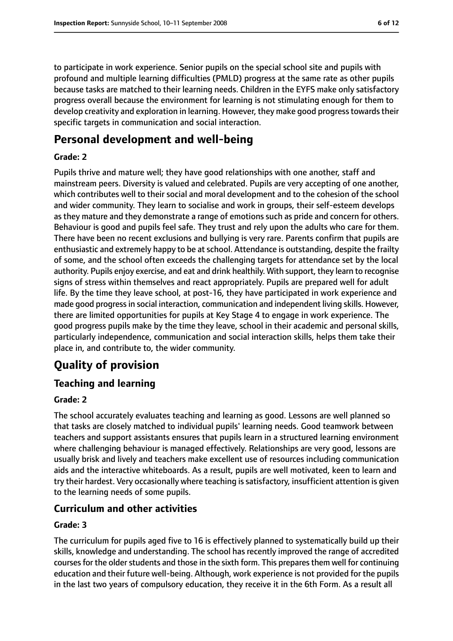to participate in work experience. Senior pupils on the special school site and pupils with profound and multiple learning difficulties (PMLD) progress at the same rate as other pupils because tasks are matched to their learning needs. Children in the EYFS make only satisfactory progress overall because the environment for learning is not stimulating enough for them to develop creativity and exploration in learning. However, they make good progress towards their specific targets in communication and social interaction.

# **Personal development and well-being**

#### **Grade: 2**

Pupils thrive and mature well; they have good relationships with one another, staff and mainstream peers. Diversity is valued and celebrated. Pupils are very accepting of one another, which contributes well to their social and moral development and to the cohesion of the school and wider community. They learn to socialise and work in groups, their self-esteem develops as they mature and they demonstrate a range of emotions such as pride and concern for others. Behaviour is good and pupils feel safe. They trust and rely upon the adults who care for them. There have been no recent exclusions and bullying is very rare. Parents confirm that pupils are enthusiastic and extremely happy to be at school. Attendance is outstanding, despite the frailty of some, and the school often exceeds the challenging targets for attendance set by the local authority. Pupils enjoy exercise, and eat and drink healthily. With support, they learn to recognise signs of stress within themselves and react appropriately. Pupils are prepared well for adult life. By the time they leave school, at post-16, they have participated in work experience and made good progressin social interaction, communication and independent living skills. However, there are limited opportunities for pupils at Key Stage 4 to engage in work experience. The good progress pupils make by the time they leave, school in their academic and personal skills, particularly independence, communication and social interaction skills, helps them take their place in, and contribute to, the wider community.

# **Quality of provision**

### **Teaching and learning**

#### **Grade: 2**

The school accurately evaluates teaching and learning as good. Lessons are well planned so that tasks are closely matched to individual pupils' learning needs. Good teamwork between teachers and support assistants ensures that pupils learn in a structured learning environment where challenging behaviour is managed effectively. Relationships are very good, lessons are usually brisk and lively and teachers make excellent use of resources including communication aids and the interactive whiteboards. As a result, pupils are well motivated, keen to learn and try their hardest. Very occasionally where teaching issatisfactory, insufficient attention is given to the learning needs of some pupils.

#### **Curriculum and other activities**

#### **Grade: 3**

The curriculum for pupils aged five to 16 is effectively planned to systematically build up their skills, knowledge and understanding. The school has recently improved the range of accredited courses for the older students and those in the sixth form. This prepares them well for continuing education and their future well-being. Although, work experience is not provided for the pupils in the last two years of compulsory education, they receive it in the 6th Form. As a result all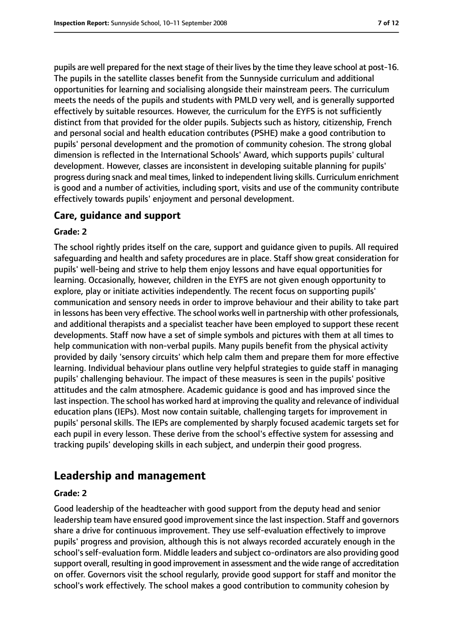pupils are well prepared for the next stage of their lives by the time they leave school at post-16. The pupils in the satellite classes benefit from the Sunnyside curriculum and additional opportunities for learning and socialising alongside their mainstream peers. The curriculum meets the needs of the pupils and students with PMLD very well, and is generally supported effectively by suitable resources. However, the curriculum for the EYFS is not sufficiently distinct from that provided for the older pupils. Subjects such as history, citizenship, French and personal social and health education contributes (PSHE) make a good contribution to pupils' personal development and the promotion of community cohesion. The strong global dimension is reflected in the International Schools' Award, which supports pupils' cultural development. However, classes are inconsistent in developing suitable planning for pupils' progress during snack and meal times, linked to independent living skills. Curriculum enrichment is good and a number of activities, including sport, visits and use of the community contribute effectively towards pupils' enjoyment and personal development.

#### **Care, guidance and support**

#### **Grade: 2**

The school rightly prides itself on the care, support and guidance given to pupils. All required safeguarding and health and safety procedures are in place. Staff show great consideration for pupils' well-being and strive to help them enjoy lessons and have equal opportunities for learning. Occasionally, however, children in the EYFS are not given enough opportunity to explore, play or initiate activities independently. The recent focus on supporting pupils' communication and sensory needs in order to improve behaviour and their ability to take part in lessons has been very effective. The school works well in partnership with other professionals, and additional therapists and a specialist teacher have been employed to support these recent developments. Staff now have a set of simple symbols and pictures with them at all times to help communication with non-verbal pupils. Many pupils benefit from the physical activity provided by daily 'sensory circuits' which help calm them and prepare them for more effective learning. Individual behaviour plans outline very helpful strategies to guide staff in managing pupils' challenging behaviour. The impact of these measures is seen in the pupils' positive attitudes and the calm atmosphere. Academic guidance is good and has improved since the last inspection. The school has worked hard at improving the quality and relevance of individual education plans (IEPs). Most now contain suitable, challenging targets for improvement in pupils' personal skills. The IEPs are complemented by sharply focused academic targets set for each pupil in every lesson. These derive from the school's effective system for assessing and tracking pupils' developing skills in each subject, and underpin their good progress.

# **Leadership and management**

#### **Grade: 2**

Good leadership of the headteacher with good support from the deputy head and senior leadership team have ensured good improvement since the last inspection. Staff and governors share a drive for continuous improvement. They use self-evaluation effectively to improve pupils' progress and provision, although this is not always recorded accurately enough in the school'sself-evaluation form. Middle leaders and subject co-ordinators are also providing good support overall, resulting in good improvement in assessment and the wide range of accreditation on offer. Governors visit the school regularly, provide good support for staff and monitor the school's work effectively. The school makes a good contribution to community cohesion by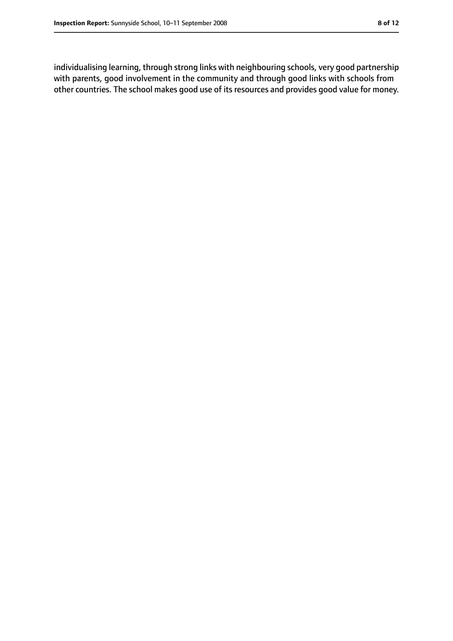individualising learning, through strong links with neighbouring schools, very good partnership with parents, good involvement in the community and through good links with schools from other countries. The school makes good use of its resources and provides good value for money.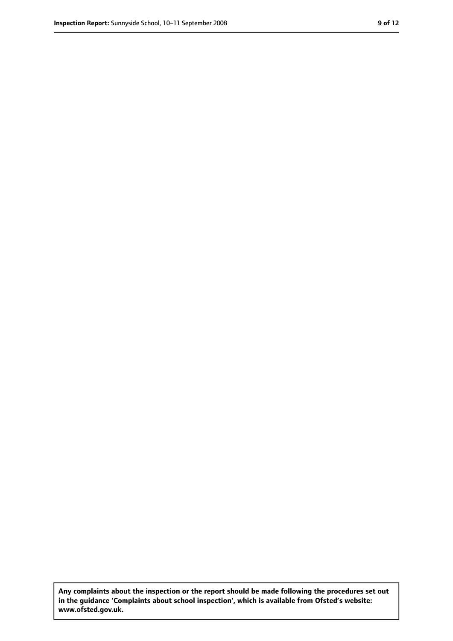**Any complaints about the inspection or the report should be made following the procedures set out in the guidance 'Complaints about school inspection', which is available from Ofsted's website: www.ofsted.gov.uk.**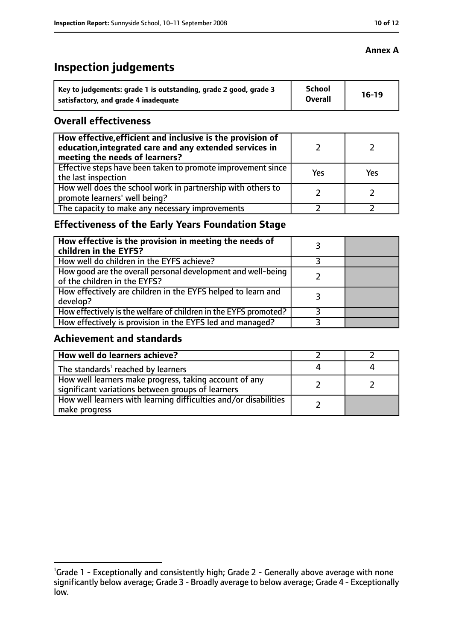# **Inspection judgements**

| Key to judgements: grade 1 is outstanding, grade 2 good, grade 3 | <b>School</b><br><b>Overall</b> | $16-19$ |
|------------------------------------------------------------------|---------------------------------|---------|
| satisfactory, and grade 4 inadequate                             |                                 |         |

#### **Overall effectiveness**

| How effective, efficient and inclusive is the provision of<br>education, integrated care and any extended services in<br>meeting the needs of learners? |     |            |
|---------------------------------------------------------------------------------------------------------------------------------------------------------|-----|------------|
| Effective steps have been taken to promote improvement since<br>the last inspection                                                                     | Yes | <b>Yes</b> |
| How well does the school work in partnership with others to<br>promote learners' well being?                                                            |     |            |
| The capacity to make any necessary improvements                                                                                                         |     |            |

### **Effectiveness of the Early Years Foundation Stage**

| How effective is the provision in meeting the needs of<br>children in the EYFS?              |  |
|----------------------------------------------------------------------------------------------|--|
| How well do children in the EYFS achieve?                                                    |  |
| How good are the overall personal development and well-being<br>of the children in the EYFS? |  |
| How effectively are children in the EYFS helped to learn and<br>develop?                     |  |
| How effectively is the welfare of children in the EYFS promoted?                             |  |
| How effectively is provision in the EYFS led and managed?                                    |  |

#### **Achievement and standards**

| $\mid$ How well do learners achieve?                                                                        |  |
|-------------------------------------------------------------------------------------------------------------|--|
| The standards <sup>1</sup> reached by learners                                                              |  |
| How well learners make progress, taking account of any<br>significant variations between groups of learners |  |
| How well learners with learning difficulties and/or disabilities<br>  make progress                         |  |

#### **Annex A**

<sup>&</sup>lt;sup>1</sup>Grade 1 - Exceptionally and consistently high; Grade 2 - Generally above average with none significantly below average; Grade 3 - Broadly average to below average; Grade 4 - Exceptionally low.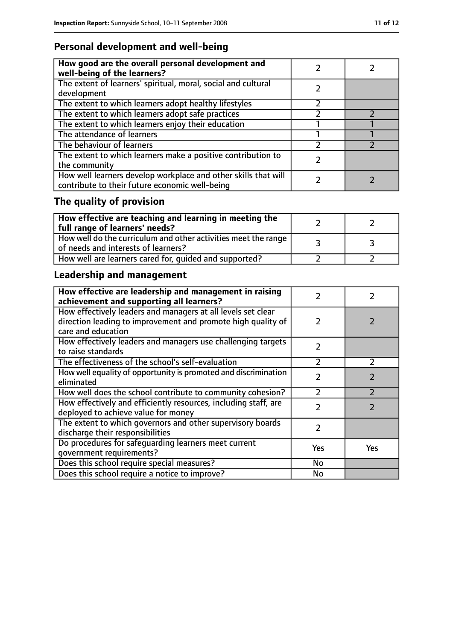# **Personal development and well-being**

| How good are the overall personal development and<br>well-being of the learners?                                 |  |
|------------------------------------------------------------------------------------------------------------------|--|
| The extent of learners' spiritual, moral, social and cultural<br>development                                     |  |
| The extent to which learners adopt healthy lifestyles                                                            |  |
| The extent to which learners adopt safe practices                                                                |  |
| The extent to which learners enjoy their education                                                               |  |
| The attendance of learners                                                                                       |  |
| The behaviour of learners                                                                                        |  |
| The extent to which learners make a positive contribution to<br>the community                                    |  |
| How well learners develop workplace and other skills that will<br>contribute to their future economic well-being |  |

# **The quality of provision**

| $\mid$ How effective are teaching and learning in meeting the<br>full range of learners' needs?       |  |
|-------------------------------------------------------------------------------------------------------|--|
| How well do the curriculum and other activities meet the range<br>of needs and interests of learners? |  |
| How well are learners cared for, quided and supported?                                                |  |

# **Leadership and management**

| How effective are leadership and management in raising<br>achievement and supporting all learners?                                                 | フ             |               |
|----------------------------------------------------------------------------------------------------------------------------------------------------|---------------|---------------|
| How effectively leaders and managers at all levels set clear<br>direction leading to improvement and promote high quality of<br>care and education | 2             |               |
| How effectively leaders and managers use challenging targets<br>to raise standards                                                                 | $\mathcal{P}$ |               |
| The effectiveness of the school's self-evaluation                                                                                                  | 2             | $\mathcal{P}$ |
| How well equality of opportunity is promoted and discrimination<br>eliminated                                                                      | $\mathcal{P}$ |               |
| How well does the school contribute to community cohesion?                                                                                         | $\mathcal{P}$ |               |
| How effectively and efficiently resources, including staff, are<br>deployed to achieve value for money                                             | $\mathcal{P}$ | $\mathcal{P}$ |
| The extent to which governors and other supervisory boards<br>discharge their responsibilities                                                     | $\mathcal{P}$ |               |
| Do procedures for safeguarding learners meet current<br>qovernment requirements?                                                                   | Yes           | <b>Yes</b>    |
| Does this school require special measures?                                                                                                         | No            |               |
| Does this school require a notice to improve?                                                                                                      | No            |               |